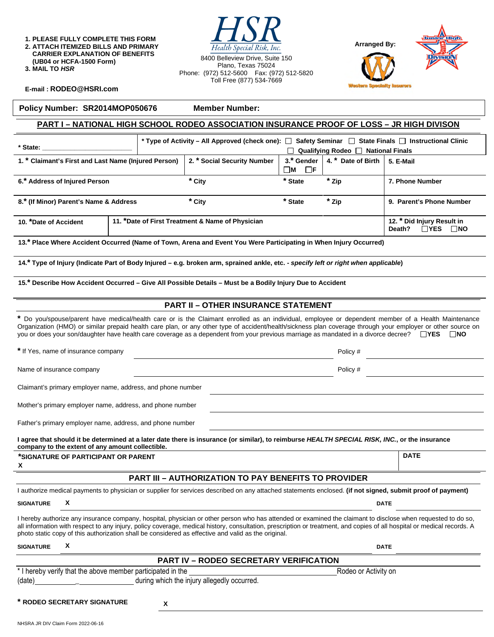**1. PLEASE FULLY COMPLETE THIS FORM 2. ATTACH ITEMIZED BILLS AND PRIMARY CARRIER EXPLANATION OF BENEFITS (UB04 or HCFA-1500 Form) 3. MAIL TO** *HSR* 

| Health Special Risk, Inc.                                              |
|------------------------------------------------------------------------|
| 8400 Belleview Drive, Suite 150<br>Plano, Texas 75024                  |
| Phone: (972) 512-5600  Fax: (972) 512-5820<br>Toll Free (877) 534-7669 |

 $T \cap T$ 



**DATE** 

**E-mail : [RODEO@HSRI.com](mailto:RODEO@HSRI.com)**

**Policy Number: SR2014MOP050676 Member Number:** 

#### **PART I – NATIONAL HIGH SCHOOL RODEO ASSOCIATION INSURANCE PROOF OF LOSS – JR HIGH DIVISON**

| * State:                                             |                                                  | * Type of Activity – All Approved (check one): $\Box$ Safety Seminar $\Box$ State Finals $\Box$ Instructional Clinic |                                    | $\Box$ Qualifying Rodeo $\Box$ National Finals            |                          |
|------------------------------------------------------|--------------------------------------------------|----------------------------------------------------------------------------------------------------------------------|------------------------------------|-----------------------------------------------------------|--------------------------|
| 1. * Claimant's First and Last Name (Injured Person) |                                                  | 2. * Social Security Number                                                                                          | 3.* Gender<br>$\blacksquare$<br>∐F | 4. * Date of Birth                                        | 5. E-Mail                |
| 6.* Address of Injured Person                        |                                                  | * City                                                                                                               | * State                            | * Zip                                                     | 7. Phone Number          |
| 8.* (If Minor) Parent's Name & Address               |                                                  | * City                                                                                                               | * State                            | * Zip                                                     | 9. Parent's Phone Number |
| 10. *Date of Accident                                | 11. *Date of First Treatment & Name of Physician |                                                                                                                      |                                    | 12. * Did Injury Result in<br>$\Box$ YES<br>⊟NO<br>Death? |                          |

**13.\* Place Where Accident Occurred (Name of Town, Arena and Event You Were Participating in When Injury Occurred)** 

14.<sup>\*</sup> Type of Injury (Indicate Part of Body Injured – e.g. broken arm, sprained ankle, etc. - *specify left or right when applicable*)

**15.\* Describe How Accident Occurred – Give All Possible Details – Must be a Bodily Injury Due to Accident** 

#### **PART II – OTHER INSURANCE STATEMENT**

**\*** Do you/spouse/parent have medical/health care or is the Claimant enrolled as an individual, employee or dependent member of a Health Maintenance Organization (HMO) or similar prepaid health care plan, or any other type of accident/health/sickness plan coverage through your employer or other source on you or does your son/daughter have health care coverage as a dependent from your previous marriage as mandated in a divorce decree?  $\Box$ YES  $\Box$ NO

**\*** If Yes, name of insurance company Policy #

Name of insurance company **Policy #** Policy # Policy # Policy # Policy # Policy # Policy # Policy # Policy # Policy # Policy # Policy # Policy # Policy # Policy # Policy # Policy # Policy # Policy # Policy # Policy # Polic

Claimant's primary employer name, address, and phone number

Mother's primary employer name, address, and phone number

Father's primary employer name, address, and phone number

**I agree that should it be determined at a later date there is insurance (or similar), to reimburse** *HEALTH SPECIAL RISK, INC.***, or the insurance company to the extent of any amount collectible.** 

#### **\*SIGNATURE OF PARTICIPANT OR PARENT X**

#### **PART III – AUTHORIZATION TO PAY BENEFITS TO PROVIDER**

|                                                             | I authorize medical payments to physician or supplier for services described on any attached statements enclosed. (if not signed, submit proof of payment)                                                                                                                                                                                                                                                                                     |                      |
|-------------------------------------------------------------|------------------------------------------------------------------------------------------------------------------------------------------------------------------------------------------------------------------------------------------------------------------------------------------------------------------------------------------------------------------------------------------------------------------------------------------------|----------------------|
| <b>SIGNATURE</b>                                            | X                                                                                                                                                                                                                                                                                                                                                                                                                                              | <b>DATE</b>          |
|                                                             | I hereby authorize any insurance company, hospital, physician or other person who has attended or examined the claimant to disclose when requested to do so,<br>all information with respect to any injury, policy coverage, medical history, consultation, prescription or treatment, and copies of all hospital or medical records. A<br>photo static copy of this authorization shall be considered as effective and valid as the original. |                      |
| <b>SIGNATURE</b>                                            | X                                                                                                                                                                                                                                                                                                                                                                                                                                              | <b>DATE</b>          |
|                                                             | <b>PART IV - RODEO SECRETARY VERIFICATION</b>                                                                                                                                                                                                                                                                                                                                                                                                  |                      |
| * I hereby verify that the above member participated in the |                                                                                                                                                                                                                                                                                                                                                                                                                                                | Rodeo or Activity on |
| (date)                                                      | during which the injury allegedly occurred.                                                                                                                                                                                                                                                                                                                                                                                                    |                      |

**\* RODEO SECRETARY SIGNATURE X**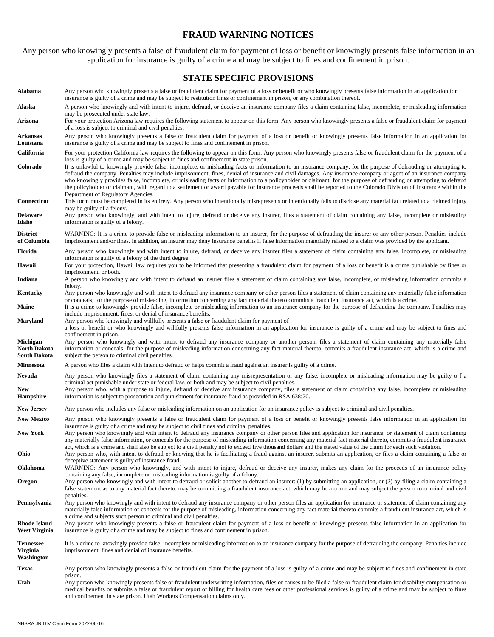## **FRAUD WARNING NOTICES**

Any person who knowingly presents a false of fraudulent claim for payment of loss or benefit or knowingly presents false information in an application for insurance is guilty of a crime and may be subject to fines and confinement in prison.

# **STATE SPECIFIC PROVISIONS**

| Alabama                                                       | Any person who knowingly presents a false or fraudulent claim for payment of a loss or benefit or who knowingly presents false information in an application for<br>insurance is guilty of a crime and may be subject to restitution fines or confinement in prison, or any combination thereof.                                                                                                                                                                                                                                                                                                                                                                                                                                                                                                                 |
|---------------------------------------------------------------|------------------------------------------------------------------------------------------------------------------------------------------------------------------------------------------------------------------------------------------------------------------------------------------------------------------------------------------------------------------------------------------------------------------------------------------------------------------------------------------------------------------------------------------------------------------------------------------------------------------------------------------------------------------------------------------------------------------------------------------------------------------------------------------------------------------|
| Alaska                                                        | A person who knowingly and with intent to injure, defraud, or deceive an insurance company files a claim containing false, incomplete, or misleading information<br>may be prosecuted under state law.                                                                                                                                                                                                                                                                                                                                                                                                                                                                                                                                                                                                           |
| Arizona                                                       | For your protection Arizona law requires the following statement to appear on this form. Any person who knowingly presents a false or fraudulent claim for payment<br>of a loss is subject to criminal and civil penalties.                                                                                                                                                                                                                                                                                                                                                                                                                                                                                                                                                                                      |
| Arkansas<br>Louisiana                                         | Any person who knowingly presents a false or fraudulent claim for payment of a loss or benefit or knowingly presents false information in an application for<br>insurance is guilty of a crime and may be subject to fines and confinement in prison.                                                                                                                                                                                                                                                                                                                                                                                                                                                                                                                                                            |
| California                                                    | For your protection California law requires the following to appear on this form: Any person who knowingly presents false or fraudulent claim for the payment of a                                                                                                                                                                                                                                                                                                                                                                                                                                                                                                                                                                                                                                               |
| Colorado                                                      | loss is guilty of a crime and may be subject to fines and confinement in state prison.<br>It is unlawful to knowingly provide false, incomplete, or misleading facts or information to an insurance company, for the purpose of defrauding or attempting to<br>defraud the company. Penalties may include imprisonment, fines, denial of insurance and civil damages. Any insurance company or agent of an insurance company<br>who knowingly provides false, incomplete, or misleading facts or information to a policyholder or claimant, for the purpose of defrauding or attempting to defraud<br>the policyholder or claimant, with regard to a settlement or award payable for insurance proceeds shall be reported to the Colorado Division of Insurance within the<br>Department of Regulatory Agencies. |
| Connecticut                                                   | This form must be completed in its entirety. Any person who intentionally misrepresents or intentionally fails to disclose any material fact related to a claimed injury<br>may be guilty of a felony.                                                                                                                                                                                                                                                                                                                                                                                                                                                                                                                                                                                                           |
| <b>Delaware</b><br>Idaho                                      | Any person who knowingly, and with intent to injure, defraud or deceive any insurer, files a statement of claim containing any false, incomplete or misleading<br>information is guilty of a felony.                                                                                                                                                                                                                                                                                                                                                                                                                                                                                                                                                                                                             |
| <b>District</b><br>of Columbia                                | WARNING: It is a crime to provide false or misleading information to an insurer, for the purpose of defrauding the insurer or any other person. Penalties include<br>imprisonment and/or fines. In addition, an insurer may deny insurance benefits if false information materially related to a claim was provided by the applicant.                                                                                                                                                                                                                                                                                                                                                                                                                                                                            |
| Florida                                                       | Any person who knowingly and with intent to injure, defraud, or deceive any insurer files a statement of claim containing any false, incomplete, or misleading<br>information is guilty of a felony of the third degree.                                                                                                                                                                                                                                                                                                                                                                                                                                                                                                                                                                                         |
| Hawaii                                                        | For your protection, Hawaii law requires you to be informed that presenting a fraudulent claim for payment of a loss or benefit is a crime punishable by fines or<br>imprisonment, or both.                                                                                                                                                                                                                                                                                                                                                                                                                                                                                                                                                                                                                      |
| Indiana                                                       | A person who knowingly and with intent to defraud an insurer files a statement of claim containing any false, incomplete, or misleading information commits a<br>felony.                                                                                                                                                                                                                                                                                                                                                                                                                                                                                                                                                                                                                                         |
| Kentucky                                                      | Any person who knowingly and with intent to defraud any insurance company or other person files a statement of claim containing any materially false information<br>or conceals, for the purpose of misleading, information concerning any fact material thereto commits a fraudulent insurance act, which is a crime.                                                                                                                                                                                                                                                                                                                                                                                                                                                                                           |
| Maine                                                         | It is a crime to knowingly provide false, incomplete or misleading information to an insurance company for the purpose of defrauding the company. Penalties may<br>include imprisonment, fines, or denial of insurance benefits.                                                                                                                                                                                                                                                                                                                                                                                                                                                                                                                                                                                 |
| Maryland                                                      | Any person who knowingly and willfully presents a false or fraudulent claim for payment of<br>a loss or benefit or who knowingly and willfully presents false information in an application for insurance is guilty of a crime and may be subject to fines and<br>confinement in prison.                                                                                                                                                                                                                                                                                                                                                                                                                                                                                                                         |
| <b>Michigan</b><br><b>North Dakota</b><br><b>South Dakota</b> | Any person who knowingly and with intent to defraud any insurance company or another person, files a statement of claim containing any materially false<br>information or conceals, for the purpose of misleading information concerning any fact material thereto, commits a fraudulent insurance act, which is a crime and<br>subject the person to criminal civil penalties.                                                                                                                                                                                                                                                                                                                                                                                                                                  |
| <b>Minnesota</b>                                              | A person who files a claim with intent to defraud or helps commit a fraud against an insurer is guilty of a crime.                                                                                                                                                                                                                                                                                                                                                                                                                                                                                                                                                                                                                                                                                               |
| Nevada                                                        | Any person who knowingly files a statement of claim containing any misrepresentation or any false, incomplete or misleading information may be guilty of a<br>criminal act punishable under state or federal law, or both and may be subject to civil penalties.                                                                                                                                                                                                                                                                                                                                                                                                                                                                                                                                                 |
| <b>New</b><br><b>Hampshire</b>                                | Any person who, with a purpose to injure, defraud or deceive any insurance company, files a statement of claim containing any false, incomplete or misleading<br>information is subject to prosecution and punishment for insurance fraud as provided in RSA 638:20.                                                                                                                                                                                                                                                                                                                                                                                                                                                                                                                                             |
| <b>New Jersey</b>                                             | Any person who includes any false or misleading information on an application for an insurance policy is subject to criminal and civil penalties.                                                                                                                                                                                                                                                                                                                                                                                                                                                                                                                                                                                                                                                                |
| <b>New Mexico</b>                                             | Any person who knowingly presents a false or fraudulent claim for payment of a loss or benefit or knowingly presents false information in an application for<br>insurance is guilty of a crime and may be subject to civil fines and criminal penalties.                                                                                                                                                                                                                                                                                                                                                                                                                                                                                                                                                         |
| <b>New York</b>                                               | Any person who knowingly and with intent to defraud any insurance company or other person files and application for insurance, or statement of claim containing<br>any materially false information, or conceals for the purpose of misleading information concerning any material fact material thereto, commits a fraudulent insurance<br>act, which is a crime and shall also be subject to a civil penalty not to exceed five thousand dollars and the stated value of the claim for each such violation.                                                                                                                                                                                                                                                                                                    |
| Ohio<br><b>Oklahoma</b>                                       | Any person who, with intent to defraud or knowing that he is facilitating a fraud against an insurer, submits an application, or files a claim containing a false or<br>deceptive statement is guilty of insurance fraud.<br>WARNING: Any person who knowingly, and with intent to injure, defraud or deceive any insurer, makes any claim for the proceeds of an insurance policy                                                                                                                                                                                                                                                                                                                                                                                                                               |
| Oregon                                                        | containing any false, incomplete or misleading information is guilty of a felony.<br>Any person who knowingly and with intent to defraud or solicit another to defraud an insurer: (1) by submitting an application, or (2) by filing a claim containing a                                                                                                                                                                                                                                                                                                                                                                                                                                                                                                                                                       |
|                                                               | false statement as to any material fact thereto, may be committing a fraudulent insurance act, which may be a crime and may subject the person to criminal and civil<br>penalties.                                                                                                                                                                                                                                                                                                                                                                                                                                                                                                                                                                                                                               |
| Pennsylvania                                                  | Any person who knowingly and with intent to defraud any insurance company or other person files an application for insurance or statement of claim containing any<br>materially false information or conceals for the purpose of misleading, information concerning any fact material thereto commits a fraudulent insurance act, which is<br>a crime and subjects such person to criminal and civil penalties.                                                                                                                                                                                                                                                                                                                                                                                                  |
| <b>Rhode Island</b><br>West Virginia                          | Any person who knowingly presents a false or fraudulent claim for payment of a loss or benefit or knowingly presents false information in an application for<br>insurance is guilty of a crime and may be subject to fines and confinement in prison.                                                                                                                                                                                                                                                                                                                                                                                                                                                                                                                                                            |
| <b>Tennessee</b><br>Virginia<br>Washington                    | It is a crime to knowingly provide false, incomplete or misleading information to an insurance company for the purpose of defrauding the company. Penalties include<br>imprisonment, fines and denial of insurance benefits.                                                                                                                                                                                                                                                                                                                                                                                                                                                                                                                                                                                     |
| <b>Texas</b>                                                  | Any person who knowingly presents a false or fraudulent claim for the payment of a loss is guilty of a crime and may be subject to fines and confinement in state<br>prison.                                                                                                                                                                                                                                                                                                                                                                                                                                                                                                                                                                                                                                     |
| Utah                                                          | Any person who knowingly presents false or fraudulent underwriting information, files or causes to be filed a false or fraudulent claim for disability compensation or<br>medical benefits or submits a false or fraudulent report or billing for health care fees or other professional services is guilty of a crime and may be subject to fines<br>and confinement in state prison. Utah Workers Compensation claims only.                                                                                                                                                                                                                                                                                                                                                                                    |